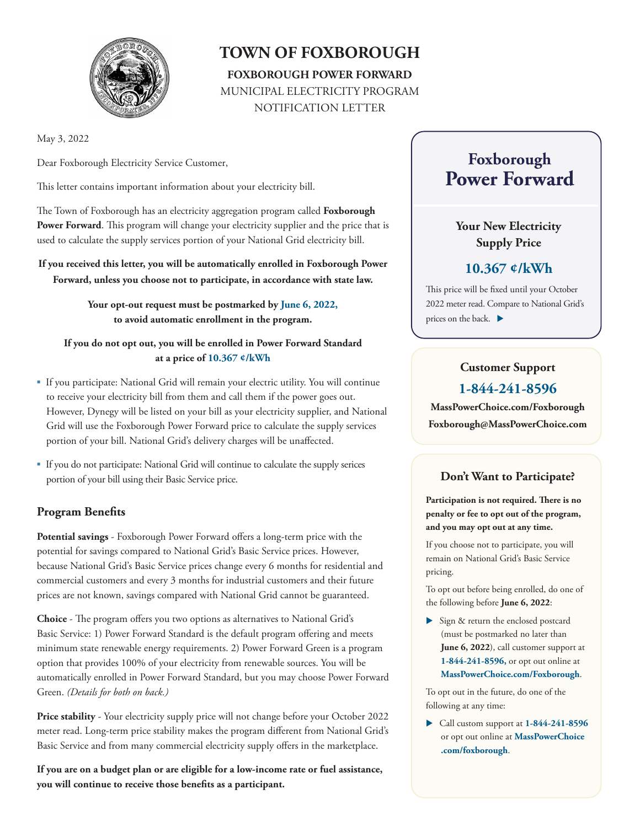

# **TOWN OF FOXBOROUGH FOXBOROUGH POWER FORWARD** MUNICIPAL ELECTRICITY PROGRAM NOTIFICATION LETTER

May 3, 2022

Dear Foxborough Electricity Service Customer,

This letter contains important information about your electricity bill.

The Town of Foxborough has an electricity aggregation program called **Foxborough**  Power Forward. This program will change your electricity supplier and the price that is used to calculate the supply services portion of your National Grid electricity bill.

**If you received this letter, you will be automatically enrolled in Foxborough Power Forward, unless you choose not to participate, in accordance with state law.** 

> **Your opt-out request must be postmarked by June 6, 2022, to avoid automatic enrollment in the program.**

**If you do not opt out, you will be enrolled in Power Forward Standard at a price of 10.367 ¢/kWh**

- If you participate: National Grid will remain your electric utility. You will continue to receive your electricity bill from them and call them if the power goes out. However, Dynegy will be listed on your bill as your electricity supplier, and National Grid will use the Foxborough Power Forward price to calculate the supply services portion of your bill. National Grid's delivery charges will be unaffected.
- If you do not participate: National Grid will continue to calculate the supply serices portion of your bill using their Basic Service price.

#### **Program Benefits**

**Potential savings** - Foxborough Power Forward offers a long-term price with the potential for savings compared to National Grid's Basic Service prices. However, because National Grid's Basic Service prices change every 6 months for residential and commercial customers and every 3 months for industrial customers and their future prices are not known, savings compared with National Grid cannot be guaranteed.

**Choice** - The program offers you two options as alternatives to National Grid's Basic Service: 1) Power Forward Standard is the default program offering and meets minimum state renewable energy requirements. 2) Power Forward Green is a program option that provides 100% of your electricity from renewable sources. You will be automatically enrolled in Power Forward Standard, but you may choose Power Forward Green. *(Details for both on back.)*

**Price stability** - Your electricity supply price will not change before your October 2022 meter read. Long-term price stability makes the program different from National Grid's Basic Service and from many commercial electricity supply offers in the marketplace.

**If you are on a budget plan or are eligible for a low-income rate or fuel assistance, you will continue to receive those benefits as a participant.** 

# **Foxborough Power Forward**

### **Your New Electricity Supply Price**

### **10.367 ¢/kWh**

This price will be fixed until your October 2022 meter read. Compare to National Grid's prices on the back.  $\blacktriangleright$ 

## **Customer Support 1-844-241-8596**

**MassPowerChoice.com/Foxborough Foxborough@MassPowerChoice.com** 

## **Don't Want to Participate?**

**Participation is not required. There is no penalty or fee to opt out of the program, and you may opt out at any time.**

If you choose not to participate, you will remain on National Grid's Basic Service pricing.

To opt out before being enrolled, do one of the following before **June 6, 2022**:

Sign & return the enclosed postcard (must be postmarked no later than **June 6, 2022**), call customer support at **1-844-241-8596,** or opt out online at **MassPowerChoice.com/Foxborough**.

To opt out in the future, do one of the following at any time:

 Call custom support at **1-844-241-8596** or opt out online at **MassPowerChoice .com/foxborough**.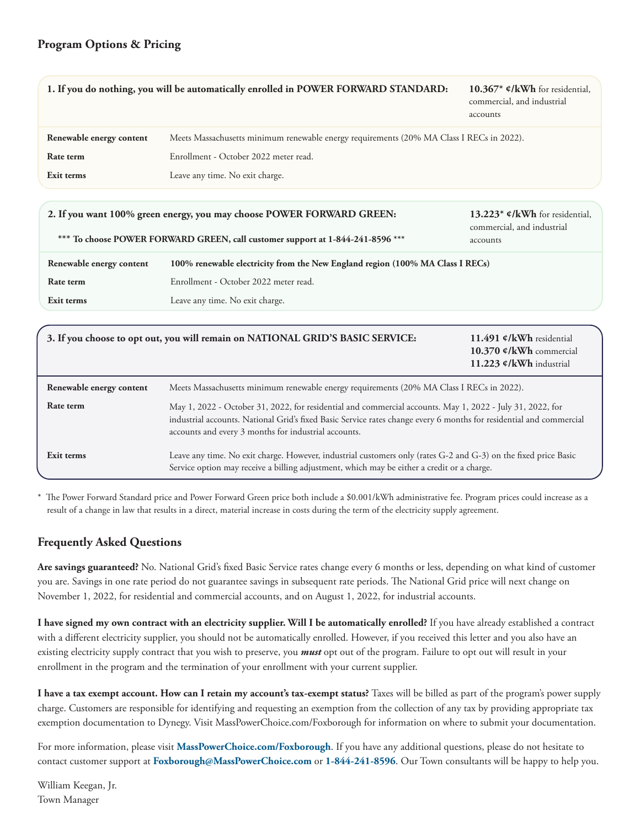#### **Program Options & Pricing**

|                                                                       | 1. If you do nothing, you will be automatically enrolled in POWER FORWARD STANDARD:                                                                                                                                                                                                      | 10.367* $\mathfrak{e}/kWh$ for residential,<br>commercial, and industrial<br>accounts |
|-----------------------------------------------------------------------|------------------------------------------------------------------------------------------------------------------------------------------------------------------------------------------------------------------------------------------------------------------------------------------|---------------------------------------------------------------------------------------|
| Renewable energy content                                              | Meets Massachusetts minimum renewable energy requirements (20% MA Class I RECs in 2022).                                                                                                                                                                                                 |                                                                                       |
| Rate term                                                             | Enrollment - October 2022 meter read.                                                                                                                                                                                                                                                    |                                                                                       |
| Exit terms                                                            | Leave any time. No exit charge.                                                                                                                                                                                                                                                          |                                                                                       |
| 2. If you want 100% green energy, you may choose POWER FORWARD GREEN: |                                                                                                                                                                                                                                                                                          | 13.223* $\mathfrak{e}/kWh$ for residential,<br>commercial, and industrial             |
|                                                                       | *** To choose POWER FORWARD GREEN, call customer support at 1-844-241-8596 ***                                                                                                                                                                                                           | accounts                                                                              |
| Renewable energy content                                              | 100% renewable electricity from the New England region (100% MA Class I RECs)                                                                                                                                                                                                            |                                                                                       |
| Rate term                                                             | Enrollment - October 2022 meter read.                                                                                                                                                                                                                                                    |                                                                                       |
| Exit terms                                                            | Leave any time. No exit charge.                                                                                                                                                                                                                                                          |                                                                                       |
|                                                                       |                                                                                                                                                                                                                                                                                          |                                                                                       |
|                                                                       | 3. If you choose to opt out, you will remain on NATIONAL GRID'S BASIC SERVICE:                                                                                                                                                                                                           | 11.491 ¢/kWh residential<br>10.370 ¢/kWh commercial<br>11.223 ¢/kWh industrial        |
| Renewable energy content                                              | Meets Massachusetts minimum renewable energy requirements (20% MA Class I RECs in 2022).                                                                                                                                                                                                 |                                                                                       |
| Rate term                                                             | May 1, 2022 - October 31, 2022, for residential and commercial accounts. May 1, 2022 - July 31, 2022, for<br>industrial accounts. National Grid's fixed Basic Service rates change every 6 months for residential and commercial<br>accounts and every 3 months for industrial accounts. |                                                                                       |
| Exit terms                                                            | Leave any time. No exit charge. However, industrial customers only (rates G-2 and G-3) on the fixed price Basic<br>Service option may receive a billing adjustment, which may be either a credit or a charge.                                                                            |                                                                                       |

\* The Power Forward Standard price and Power Forward Green price both include a \$0.001/kWh administrative fee. Program prices could increase as a result of a change in law that results in a direct, material increase in costs during the term of the electricity supply agreement.

#### **Frequently Asked Questions**

**Are savings guaranteed?** No. National Grid's fixed Basic Service rates change every 6 months or less, depending on what kind of customer you are. Savings in one rate period do not guarantee savings in subsequent rate periods. The National Grid price will next change on November 1, 2022, for residential and commercial accounts, and on August 1, 2022, for industrial accounts.

**I have signed my own contract with an electricity supplier. Will I be automatically enrolled?** If you have already established a contract with a different electricity supplier, you should not be automatically enrolled. However, if you received this letter and you also have an existing electricity supply contract that you wish to preserve, you *must* opt out of the program. Failure to opt out will result in your enrollment in the program and the termination of your enrollment with your current supplier.

**I have a tax exempt account. How can I retain my account's tax-exempt status?** Taxes will be billed as part of the program's power supply charge. Customers are responsible for identifying and requesting an exemption from the collection of any tax by providing appropriate tax exemption documentation to Dynegy. Visit MassPowerChoice.com/Foxborough for information on where to submit your documentation.

For more information, please visit **MassPowerChoice.com/Foxborough**. If you have any additional questions, please do not hesitate to contact customer support at **Foxborough@MassPowerChoice.com** or **1-844-241-8596**. Our Town consultants will be happy to help you.

William Keegan, Jr. Town Manager